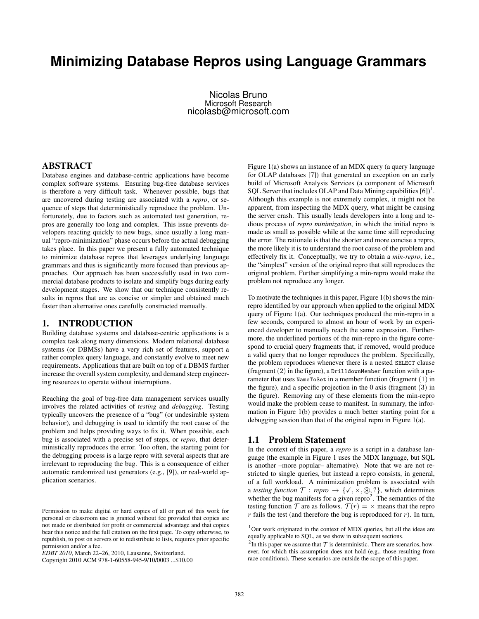# **Minimizing Database Repros using Language Grammars**

Nicolas Bruno Microsoft Research nicolasb@microsoft.com

## ABSTRACT

Database engines and database-centric applications have become complex software systems. Ensuring bug-free database services is therefore a very difficult task. Whenever possible, bugs that are uncovered during testing are associated with a *repro*, or sequence of steps that deterministically reproduce the problem. Unfortunately, due to factors such as automated test generation, repros are generally too long and complex. This issue prevents developers reacting quickly to new bugs, since usually a long manual "repro-minimization" phase occurs before the actual debugging takes place. In this paper we present a fully automated technique to minimize database repros that leverages underlying language grammars and thus is significantly more focused than previous approaches. Our approach has been successfully used in two commercial database products to isolate and simplify bugs during early development stages. We show that our technique consistently results in repros that are as concise or simpler and obtained much faster than alternative ones carefully constructed manually.

## 1. INTRODUCTION

Building database systems and database-centric applications is a complex task along many dimensions. Modern relational database systems (or DBMSs) have a very rich set of features, support a rather complex query language, and constantly evolve to meet new requirements. Applications that are built on top of a DBMS further increase the overall system complexity, and demand steep engineering resources to operate without interruptions.

Reaching the goal of bug-free data management services usually involves the related activities of *testing* and *debugging*. Testing typically uncovers the presence of a "bug" (or undesirable system behavior), and debugging is used to identify the root cause of the problem and helps providing ways to fix it. When possible, each bug is associated with a precise set of steps, or *repro*, that deterministically reproduces the error. Too often, the starting point for the debugging process is a large repro with several aspects that are irrelevant to reproducing the bug. This is a consequence of either automatic randomized test generators (e.g., [9]), or real-world application scenarios.

Figure 1(a) shows an instance of an MDX query (a query language for OLAP databases [7]) that generated an exception on an early build of Microsoft Analysis Services (a component of Microsoft SQL Server that includes OLAP and Data Mining capabilities  $[6]$ <sup>1</sup>. Although this example is not extremely complex, it might not be apparent, from inspecting the MDX query, what might be causing the server crash. This usually leads developers into a long and tedious process of *repro minimization*, in which the initial repro is made as small as possible while at the same time still reproducing the error. The rationale is that the shorter and more concise a repro, the more likely it is to understand the root cause of the problem and effectively fix it. Conceptually, we try to obtain a *min-repro*, i.e., the "simplest" version of the original repro that still reproduces the original problem. Further simplifying a min-repro would make the problem not reproduce any longer.

To motivate the techniques in this paper, Figure 1(b) shows the minrepro identified by our approach when applied to the original MDX query of Figure 1(a). Our techniques produced the min-repro in a few seconds, compared to almost an hour of work by an experienced developer to manually reach the same expression. Furthermore, the underlined portions of the min-repro in the figure correspond to crucial query fragments that, if removed, would produce a valid query that no longer reproduces the problem. Specifically, the problem reproduces whenever there is a nested SELECT clause (fragment  $(2)$  in the figure), a DrilldownMember function with a parameter that uses NameToSet in a member function (fragment (1) in the figure), and a specific projection in the 0 axis (fragment (3) in the figure). Removing any of these elements from the min-repro would make the problem cease to manifest. In summary, the information in Figure 1(b) provides a much better starting point for a debugging session than that of the original repro in Figure 1(a).

## 1.1 Problem Statement

In the context of this paper, a *repro* is a script in a database language (the example in Figure 1 uses the MDX language, but SQL is another –more popular– alternative). Note that we are not restricted to single queries, but instead a repro consists, in general, of a full workload. A minimization problem is associated with a *testing function*  $\mathcal{T}:$  *repro*  $\rightarrow$  { $\checkmark$ ,  $\times$ ,  $\circledS$ , ?}, which determines whether the bug manifests for a given repro<sup>2</sup>. The semantics of the testing function  $\mathcal T$  are as follows.  $\mathcal T(r) = \mathcal X$  means that the repro*r* fails the test (and therefore the bug is reproduced for *r*). In turn,

Permission to make digital or hard copies of all or part of this work for personal or classroom use is granted without fee provided that copies are not made or distributed for profit or commercial advantage and that copies bear this notice and the full citation on the first page. To copy otherwise, to republish, to post on servers or to redistribute to lists, requires prior specific permission and/or a fee.

*EDBT 2010*, March 22–26, 2010, Lausanne, Switzerland.

Copyright 2010 ACM 978-1-60558-945-9/10/0003 ...\$10.00

<sup>1</sup>Our work originated in the context of MDX queries, but all the ideas are equally applicable to SQL, as we show in subsequent sections.

<sup>&</sup>lt;sup>2</sup>In this paper we assume that  $\tau$  is deterministic. There are scenarios, however, for which this assumption does not hold (e.g., those resulting from race conditions). These scenarios are outside the scope of this paper.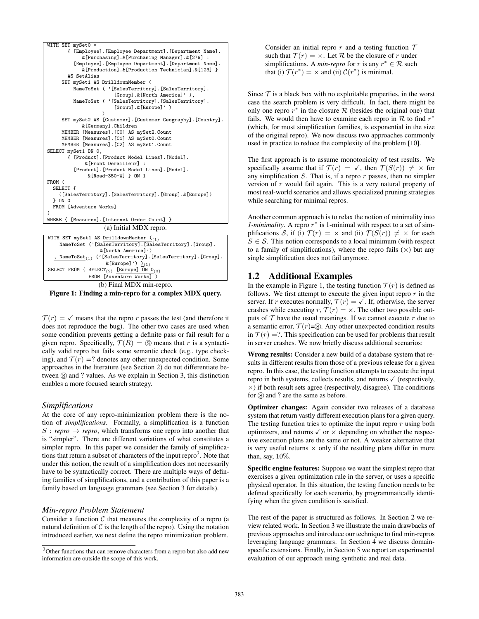

(b) Final MDX min-repro. Figure 1: Finding a min-repro for a complex MDX query.

 $\mathcal{T}(r) = \sqrt{r}$  means that the repro *r* passes the test (and therefore it does not reproduce the bug). The other two cases are used when some condition prevents getting a definite pass or fail result for a given repro. Specifically,  $\mathcal{T}(R) = \mathcal{S}$  means that *r* is a syntactically valid repro but fails some semantic check (e.g., type checking), and  $\mathcal{T}(r) = ?$  denotes any other unexpected condition. Some approaches in the literature (see Section 2) do not differentiate between  $\circledS$  and ? values. As we explain in Section 3, this distinction enables a more focused search strategy.

## *Simplifications*

At the core of any repro-minimization problem there is the notion of *simplifications*. Formally, a simplification is a function  $S$ : *repro*  $\rightarrow$  *repro*, which transforms one repro into another that is "simpler". There are different variations of what constitutes a simpler repro. In this paper we consider the family of simplifications that return a subset of characters of the input repro $3$ . Note that under this notion, the result of a simplification does not necessarily have to be syntactically correct. There are multiple ways of defining families of simplifications, and a contribution of this paper is a family based on language grammars (see Section 3 for details).

## *Min-repro Problem Statement*

Consider a function  $C$  that measures the complexity of a repro (a natural definition of  $C$  is the length of the repro). Using the notation introduced earlier, we next define the repro minimization problem.

Consider an initial repro  $r$  and a testing function  $\mathcal T$ such that  $\mathcal{T}(r) = \times$ . Let  $\mathcal R$  be the closure of  $r$  under simplifications. A *min-repro* for *r* is any  $r^* \in \mathcal{R}$  such that (i)  $\mathcal{T}(r^*) = \times$  and (ii)  $\mathcal{C}(r^*)$  is minimal.

Since  $T$  is a black box with no exploitable properties, in the worst case the search problem is very difficult. In fact, there might be only one repro  $r^*$  in the closure  $R$  (besides the original one) that fails. We would then have to examine each repro in  $R$  to find  $r^*$ (which, for most simplification families, is exponential in the size of the original repro). We now discuss two approaches commonly used in practice to reduce the complexity of the problem [10].

The first approach is to assume monotonicity of test results. We specifically assume that if  $\mathcal{T}(r) = \checkmark$ , then  $\mathcal{T}(S(r)) \neq \checkmark$  for any simplification *S*. That is, if a repro *r* passes, then no simpler version of *r* would fail again. This is a very natural property of most real-world scenarios and allows specialized pruning strategies while searching for minimal repros.

Another common approach is to relax the notion of minimality into *1-minimality*. A repro *r ∗* is 1-minimal with respect to a set of simplifications *S*, if (i)  $\mathcal{T}(r) = \times$  and (ii)  $\mathcal{T}(S(r)) \neq \times$  for each  $S \in \mathcal{S}$ . This notion corresponds to a local minimum (with respect to a family of simplifications), where the repro fails  $(\times)$  but any single simplification does not fail anymore.

# 1.2 Additional Examples

In the example in Figure 1, the testing function  $\mathcal{T}(r)$  is defined as follows. We first attempt to execute the given input repro *r* in the server. If *r* executes normally,  $\mathcal{T}(r) = \checkmark$ . If, otherwise, the server crashes while executing  $r, \mathcal{T}(r) = \times$ . The other two possible outputs of  $T$  have the usual meanings. If we cannot execute  $r$  due to a semantic error,  $T(r)=S$ . Any other unexpected condition results in  $\mathcal{T}(r) = ?$ . This specification can be used for problems that result in server crashes. We now briefly discuss additional scenarios:

Wrong results: Consider a new build of a database system that results in different results from those of a previous release for a given repro. In this case, the testing function attempts to execute the input repro in both systems, collects results, and returns  $\checkmark$  (respectively, *×*) if both result sets agree (respectively, disagree). The conditions for  $\circledS$  and ? are the same as before.

Optimizer changes: Again consider two releases of a database system that return vastly different execution plans for a given query. The testing function tries to optimize the input repro *r* using both optimizers, and returns  $\checkmark$  or  $\times$  depending on whether the respective execution plans are the same or not. A weaker alternative that is very useful returns  $\times$  only if the resulting plans differ in more than, say,  $10\%$ .

Specific engine features: Suppose we want the simplest repro that exercises a given optimization rule in the server, or uses a specific physical operator. In this situation, the testing function needs to be defined specifically for each scenario, by programmatically identifying when the given condition is satisfied.

The rest of the paper is structured as follows. In Section 2 we review related work. In Section 3 we illustrate the main drawbacks of previous approaches and introduce our technique to find min-repros leveraging language grammars. In Section 4 we discuss domainspecific extensions. Finally, in Section 5 we report an experimental evaluation of our approach using synthetic and real data.

<sup>&</sup>lt;sup>3</sup>Other functions that can remove characters from a repro but also add new information are outside the scope of this work.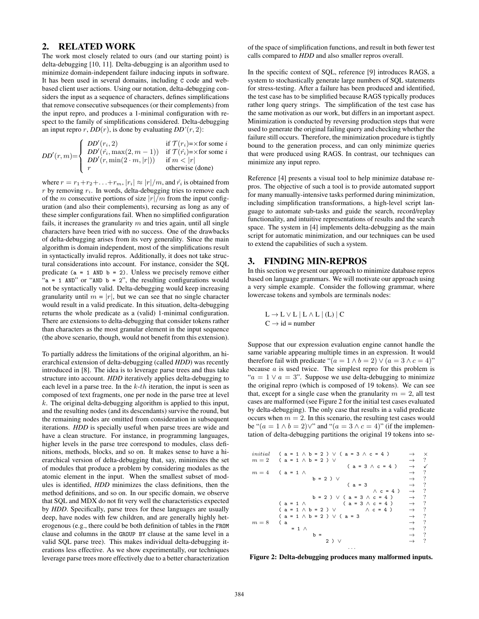## 2. RELATED WORK

The work most closely related to ours (and our starting point) is delta-debugging [10, 11]. Delta-debugging is an algorithm used to minimize domain-independent failure inducing inputs in software. It has been used in several domains, including C code and webbased client user actions. Using our notation, delta-debugging considers the input as a sequence of characters, defines simplifications that remove consecutive subsequences (or their complements) from the input repro, and produces a 1-minimal configuration with respect to the family of simplifications considered. Delta-debugging an input repro  $r$ ,  $DD(r)$ , is done by evaluating  $DD'(r, 2)$ :

$$
DD'(r, m) = \begin{cases} DD'(r_i, 2) & \text{if } \mathcal{T}(r_i) = \times \text{for some } i \\ DD'(r_i, \max(2, m - 1)) & \text{if } \mathcal{T}(\hat{r_i}) = \times \text{for some } i \\ DD'(r, \min(2 \cdot m, |r|)) & \text{if } m < |r| \\ r & \text{otherwise (done)} \end{cases}
$$

where  $r = r_1 + r_2 + \ldots + r_m$ ,  $|r_i| \approx |r|/m$ , and  $\hat{r_i}$  is obtained from *r* by removing *ri*. In words, delta-debugging tries to remove each of the *m* consecutive portions of size  $|r|/m$  from the input configuration (and also their complements), recursing as long as any of these simpler configurations fail. When no simplified configuration fails, it increases the granularity  $m$  and tries again, until all single characters have been tried with no success. One of the drawbacks of delta-debugging arises from its very generality. Since the main algorithm is domain independent, most of the simplifications result in syntactically invalid repros. Additionally, it does not take structural considerations into account. For instance, consider the SQL predicate ( $a = 1$  AND  $b = 2$ ). Unless we precisely remove either "a = 1 AND" or "AND  $b = 2$ ", the resulting configurations would not be syntactically valid. Delta-debugging would keep increasing granularity until  $m = |r|$ , but we can see that no single character would result in a valid predicate. In this situation, delta-debugging returns the whole predicate as a (valid) 1-minimal configuration. There are extensions to delta-debugging that consider tokens rather than characters as the most granular element in the input sequence (the above scenario, though, would not benefit from this extension).

To partially address the limitations of the original algorithm, an hierarchical extension of delta-debugging (called *HDD*) was recently introduced in [8]. The idea is to leverage parse trees and thus take structure into account. *HDD* iteratively applies delta-debugging to each level in a parse tree. In the *k*-*th* iteration, the input is seen as composed of text fragments, one per node in the parse tree at level *k*. The original delta-debugging algorithm is applied to this input, and the resulting nodes (and its descendants) survive the round, but the remaining nodes are omitted from consideration in subsequent iterations. *HDD* is specially useful when parse trees are wide and have a clean structure. For instance, in programming languages, higher levels in the parse tree correspond to modules, class definitions, methods, blocks, and so on. It makes sense to have a hierarchical version of delta-debugging that, say, minimizes the set of modules that produce a problem by considering modules as the atomic element in the input. When the smallest subset of modules is identified, *HDD* minimizes the class definitions, then the method definitions, and so on. In our specific domain, we observe that SQL and MDX do not fit very well the characteristics expected by *HDD*. Specifically, parse trees for these languages are usually deep, have nodes with few children, and are generally highly heterogenous (e.g., there could be both definition of tables in the FROM clause and columns in the GROUP BY clause at the same level in a valid SQL parse tree). This makes individual delta-debugging iterations less effective. As we show experimentally, our techniques leverage parse trees more effectively due to a better characterization of the space of simplification functions, and result in both fewer test calls compared to *HDD* and also smaller repros overall.

In the specific context of SQL, reference [9] introduces RAGS, a system to stochastically generate large numbers of SQL statements for stress-testing. After a failure has been produced and identified, the test case has to be simplified because RAGS typically produces rather long query strings. The simplification of the test case has the same motivation as our work, but differs in an important aspect. Minimization is conducted by reversing production steps that were used to generate the original failing query and checking whether the failure still occurs. Therefore, the minimization procedure is tightly bound to the generation process, and can only minimize queries that were produced using RAGS. In contrast, our techniques can minimize any input repro.

Reference [4] presents a visual tool to help minimize database repros. The objective of such a tool is to provide automated support for many manually-intensive tasks performed during minimization, including simplification transformations, a high-level script language to automate sub-tasks and guide the search, record/replay functionality, and intuitive representations of results and the search space. The system in [4] implements delta-debugging as the main script for automatic minimization, and our techniques can be used to extend the capabilities of such a system.

#### 3. FINDING MIN-REPROS

In this section we present our approach to minimize database repros based on language grammars. We will motivate our approach using a very simple example. Consider the following grammar, where lowercase tokens and symbols are terminals nodes:

$$
L \to L \lor L \mid L \land L \mid (L) \mid C
$$
  

$$
C \to id = number
$$

Suppose that our expression evaluation engine cannot handle the same variable appearing multiple times in an expression. It would therefore fail with predicate " $(a = 1 \land b = 2) \lor (a = 3 \land c = 4)$ " because *a* is used twice. The simplest repro for this problem is " $a = 1 \vee a = 3$ ". Suppose we use delta-debugging to minimize the original repro (which is composed of 19 tokens). We can see that, except for a single case when the granularity  $m = 2$ , all test cases are malformed (see Figure 2 for the initial test cases evaluated by delta-debugging). The only case that results in a valid predicate occurs when  $m = 2$ . In this scenario, the resulting test cases would be " $(a = 1 \land b = 2) \lor$ " and " $(a = 3 \land c = 4)$ " (if the implementation of delta-debugging partitions the original 19 tokens into se-



Figure 2: Delta-debugging produces many malformed inputs.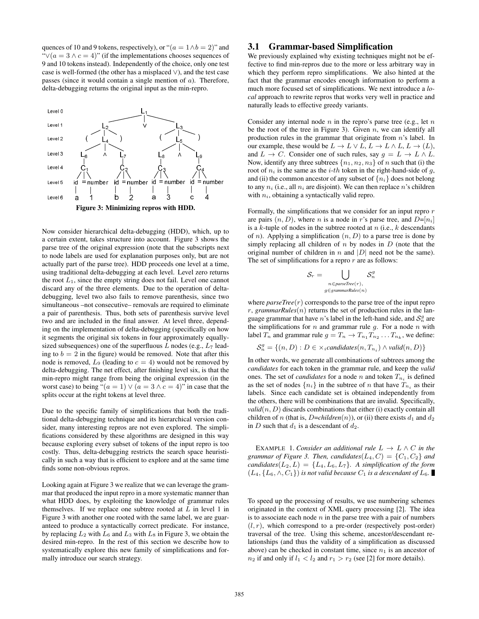quences of 10 and 9 tokens, respectively), or " $(a = 1 \land b = 2)$ " and " $∨$ ( $a = 3 ∧ c = 4$ )" (if the implementations chooses sequences of 9 and 10 tokens instead). Independently of the choice, only one test case is well-formed (the other has a misplaced *∨*), and the test case passes (since it would contain a single mention of *a*). Therefore, delta-debugging returns the original input as the min-repro.



Now consider hierarchical delta-debugging (HDD), which, up to a certain extent, takes structure into account. Figure 3 shows the parse tree of the original expression (note that the subscripts next to node labels are used for explanation purposes only, but are not actually part of the parse tree). HDD proceeds one level at a time, using traditional delta-debugging at each level. Level zero returns the root  $L_1$ , since the empty string does not fail. Level one cannot discard any of the three elements. Due to the operation of deltadebugging, level two also fails to remove parenthesis, since two simultaneous –not consecutive– removals are required to eliminate a pair of parenthesis. Thus, both sets of parenthesis survive level two and are included in the final answer. At level three, depending on the implementation of delta-debugging (specifically on how it segments the original six tokens in four approximately equallysized subsequences) one of the superfluous *L* nodes (e.g., *L*<sup>7</sup> leading to  $b = 2$  in the figure) would be removed. Note that after this node is removed,  $L_9$  (leading to  $c = 4$ ) would not be removed by delta-debugging. The net effect, after finishing level six, is that the min-repro might range from being the original expression (in the worst case) to being " $(a = 1) \vee (a = 3 \wedge c = 4)$ " in case that the splits occur at the right tokens at level three.

Due to the specific family of simplifications that both the traditional delta-debugging technique and its hierarchical version consider, many interesting repros are not even explored. The simplifications considered by these algorithms are designed in this way because exploring every subset of tokens of the input repro is too costly. Thus, delta-debugging restricts the search space heuristically in such a way that is efficient to explore and at the same time finds some non-obvious repros.

Looking again at Figure 3 we realize that we can leverage the grammar that produced the input repro in a more systematic manner than what HDD does, by exploiting the knowledge of grammar rules themselves. If we replace one subtree rooted at *L* in level 1 in Figure 3 with another one rooted with the same label, we are guaranteed to produce a syntactically correct predicate. For instance, by replacing  $L_2$  with  $L_6$  and  $L_3$  with  $L_8$  in Figure 3, we obtain the desired min-repro. In the rest of this section we describe how to systematically explore this new family of simplifications and formally introduce our search strategy.

## 3.1 Grammar-based Simplification

We previously explained why existing techniques might not be effective to find min-repros due to the more or less arbitrary way in which they perform repro simplifications. We also hinted at the fact that the grammar encodes enough information to perform a much more focused set of simplifications. We next introduce a *local* approach to rewrite repros that works very well in practice and naturally leads to effective greedy variants.

Consider any internal node *n* in the repro's parse tree (e.g., let *n* be the root of the tree in Figure 3). Given *n*, we can identify all production rules in the grammar that originate from *n*'s label. In our example, these would be  $L \to L \lor L$ ,  $L \to L \land L$ ,  $L \to (L)$ , and  $L \rightarrow C$ . Consider one of such rules, say  $g = L \rightarrow L \wedge L$ . Now, identify any three subtrees  $\{n_1, n_2, n_3\}$  of *n* such that (i) the root of  $n_i$  is the same as the *i*-*th* token in the right-hand-side of  $g$ , and (ii) the common ancestor of any subset of  ${n_i}$  does not belong to any  $n_i$  (i.e., all  $n_i$  are disjoint). We can then replace  $n$ 's children with  $n_i$ , obtaining a syntactically valid repro.

Formally, the simplifications that we consider for an input repro *r* are pairs  $(n, D)$ , where *n* is a node in *r*'s parse tree, and  $D=[n_i]$ is a *k*-tuple of nodes in the subtree rooted at *n* (i.e., *k* descendants of *n*). Applying a simplification (*n, D*) to a parse tree is done by simply replacing all children of *n* by nodes in *D* (note that the original number of children in *n* and *|D|* need not be the same). The set of simplifications for a repro *r* are as follows:

$$
S_r = \bigcup_{\substack{n \in parseTree(r),\\ g \in grammarRules(n)}}
$$

where  $\text{parseTree}(r)$  corresponds to the parse tree of the input repro  $r$ , *grammarRules*( $n$ ) returns the set of production rules in the language grammar that have *n*'s label in the left-hand side, and  $S_n^g$  are the simplifications for *n* and grammar rule *g*. For a node *n* with label  $T_n$  and grammar rule  $g = T_n \rightarrow T_{n_1} T_{n_2} \dots T_{n_k}$ , we define:

$$
\mathcal{S}_n^g = \{(n, D) : D \in \times_i \text{candidates}(n, T_{n_i}) \land \text{valid}(n, D)\}
$$

In other words, we generate all combinations of subtrees among the *candidates* for each token in the grammar rule, and keep the *valid* ones. The set of *candidates* for a node *n* and token  $T_{n_i}$  is defined as the set of nodes  $\{n_i\}$  in the subtree of *n* that have  $T_{n_i}$  as their labels. Since each candidate set is obtained independently from the others, there will be combinations that are invalid. Specifically,  $valid(n, D)$  discards combinations that either (i) exactly contain all children of *n* (that is, *D*=*children*(*n*)), or (ii) there exists  $d_1$  and  $d_2$ in *D* such that  $d_1$  is a descendant of  $d_2$ .

EXAMPLE 1. *Consider an additional rule*  $L \rightarrow L \wedge C$  *in the grammar of Figure 3. Then, candidates*( $L_4$ ,  $C$ ) = { $C_1$ ,  $C_2$ } *and candidates*( $L_2, L$ ) = { $L_4, L_6, L_7$ }*. A simplification of the form*  $(L_4, \{L_6, \wedge, C_1\})$  *is not valid because*  $C_1$  *is a descendant of*  $L_6$ .

To speed up the processing of results, we use numbering schemes originated in the context of XML query processing [2]. The idea is to associate each node *n* in the parse tree with a pair of numbers  $(l, r)$ , which correspond to a pre-order (respectively post-order) traversal of the tree. Using this scheme, ancestor/descendant relationships (and thus the validity of a simplification as discussed above) can be checked in constant time, since  $n_1$  is an ancestor of  $n_2$  if and only if  $l_1 < l_2$  and  $r_1 > r_2$  (see [2] for more details).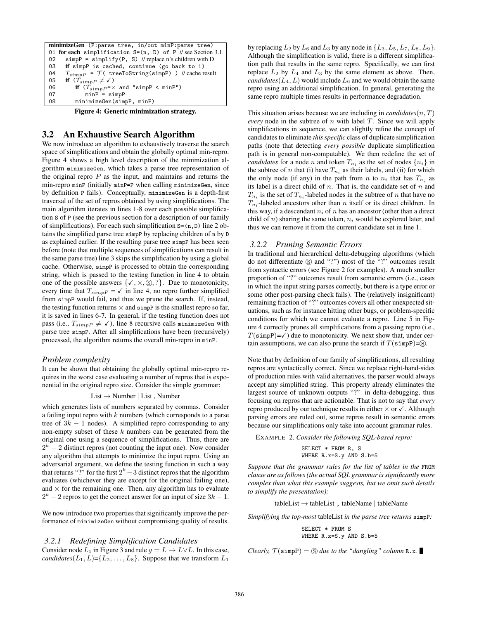minimizeGen (P:parse tree, in/out minP:parse tree) 01 for each simplification S=(n, D) of P // see Section 3.1 02 simpP = simplify(P, S) // replace n's children with D 03 if simpP is cached, continue (go back to 1) 04  $T_{simpP} = \mathcal{T}$  (treeToString(simpP) ) // cache result<br>05 **if**  $(T_{simpP} \neq \checkmark)$ 05 if  $(T_{simpP} \neq \checkmark)$ <br>06 if  $(T_{simpP} = \checkmark)$ 06 if  $(T_{simpP} = \times \text{ and } "simpP < \text{minP"})$ <br>07 minP = simpP 07 minP<sup>-</sup>= simpP<br>08 minimizeGen(sim minimizeGen(simpP, minP)

Figure 4: Generic minimization strategy.

## 3.2 An Exhaustive Search Algorithm

We now introduce an algorithm to exhaustively traverse the search space of simplifications and obtain the globally optimal min-repro. Figure 4 shows a high level description of the minimization algorithm minimizeGen, which takes a parse tree representation of the original repro *P* as the input, and maintains and returns the min-repro minP (initially minP=P when calling minimizeGen, since by definition P fails). Conceptually, minimizeGen is a depth-first traversal of the set of repros obtained by using simplifications. The main algorithm iterates in lines 1-8 over each possible simplification S of P (see the previous section for a description of our family of simplifications). For each such simplification S=(n,D) line 2 obtains the simplified parse tree simpP by replacing children of n by D as explained earlier. If the resulting parse tree simpP has been seen before (note that multiple sequences of simplifications can result in the same parse tree) line 3 skips the simplification by using a global cache. Otherwise, simpP is processed to obtain the corresponding string, which is passed to the testing function in line 4 to obtain one of the possible answers  $\{X, X, \hat{S}, \hat{S}\}$ . Due to monotonicity, every time that  $T_{simpP} = \checkmark$  in line 4, no repro further simplified from simpP would fail, and thus we prune the search. If, instead, the testing function returns  $\times$  and simppe is the smallest repro so far, it is saved in lines 6-7. In general, if the testing function does not pass (i.e.,  $T_{simp} \neq \checkmark$ ), line 8 recursive calls minimizeGen with parse tree simpP. After all simplifications have been (recursively) processed, the algorithm returns the overall min-repro in minP.

#### *Problem complexity*

It can be shown that obtaining the globally optimal min-repro requires in the worst case evaluating a number of repros that is exponential in the original repro size. Consider the simple grammar:

#### List *→* Number *|* List , Number

which generates lists of numbers separated by commas. Consider a failing input repro with *k* numbers (which corresponds to a parse tree of  $3k - 1$  nodes). A simplified repro corresponding to any non-empty subset of these *k* numbers can be generated from the original one using a sequence of simplifications. Thus, there are 2 *<sup>k</sup> −* 2 distinct repros (not counting the input one). Now consider any algorithm that attempts to minimize the input repro. Using an adversarial argument, we define the testing function in such a way that returns "?" for the first  $2^k - 3$  distinct repros that the algorithm evaluates (whichever they are except for the original failing one), and  $\times$  for the remaining one. Then, any algorithm has to evaluate  $2<sup>k</sup>$  − 2 repros to get the correct answer for an input of size  $3k$  − 1.

We now introduce two properties that significantly improve the performance of minimizeGen without compromising quality of results.

#### *3.2.1 Redefining Simplification Candidates*

Consider node  $L_1$  in Figure 3 and rule  $q = L \rightarrow L \vee L$ . In this case, *candidates*( $L_1, L$ )={ $L_2, ..., L_8$ }. Suppose that we transform  $L_1$ 

by replacing  $L_2$  by  $L_6$  and  $L_3$  by any node in  $\{L_3, L_5, L_7, L_8, L_9\}$ . Although the simplification is valid, there is a different simplification path that results in the same repro. Specifically, we can first replace  $L_2$  by  $L_4$  and  $L_3$  by the same element as above. Then, *candidates*( $L_4$ ,  $L$ ) would include  $L_6$  and we would obtain the same repro using an additional simplification. In general, generating the same repro multiple times results in performance degradation.

This situation arises because we are including in *candidates*(*n, T*) *every* node in the subtree of *n* with label *T*. Since we will apply simplifications in sequence, we can slightly refine the concept of candidates to eliminate *this specific* class of duplicate simplification paths (note that detecting *every possible* duplicate simplification path is in general non-computable). We then redefine the set of *candidates* for a node *n* and token  $T_{n_i}$  as the set of nodes  $\{n_i\}$  in the subtree of *n* that (i) have  $T_{n_i}$  as their labels, and (ii) for which the only node (if any) in the path from *n* to  $n_i$  that has  $T_{n_i}$  as its label is a direct child of *n*. That is, the candidate set of *n* and  $T_{n_i}$  is the set of  $T_{n_i}$ -labeled nodes in the subtree of *n* that have no  $T_{n_i}$ -labeled ancestors other than *n* itself or its direct children. In this way, if a descendant  $n_i$  of  $n$  has an ancestor (other than a direct child of *n*) sharing the same token, *n<sup>i</sup>* would be explored later, and thus we can remove it from the current candidate set in line 1.

#### *3.2.2 Pruning Semantic Errors*

In traditional and hierarchical delta-debugging algorithms (which do not differentiate  $\circledS$  and "?") most of the "?" outcomes result from syntactic errors (see Figure 2 for examples). A much smaller proportion of "?" outcomes result from semantic errors (i.e., cases in which the input string parses correctly, but there is a type error or some other post-parsing check fails). The (relatively insignificant) remaining fraction of "?" outcomes covers all other unexpected situations, such as for instance hitting other bugs, or problem-specific conditions for which we cannot evaluate a repro. Line 5 in Figure 4 correctly prunes all simplifications from a passing repro (i.e.,  $T(\text{simpP})=\checkmark$ ) due to monotonicity. We next show that, under certain assumptions, we can also prune the search if  $T(\text{simpP}) = S$ .

Note that by definition of our family of simplifications, all resulting repros are syntactically correct. Since we replace right-hand-sides of production rules with valid alternatives, the parser would always accept any simplified string. This property already eliminates the largest source of unknown outputs "?" in delta-debugging, thus focusing on repros that are actionable. That is not to say that *every* repro produced by our technique results in either  $\times$  or  $\checkmark$ . Although parsing errors are ruled out, some repros result in semantic errors because our simplifications only take into account grammar rules.

EXAMPLE 2. *Consider the following SQL-based repro:*

SELECT \* FROM R, S WHERE R.x=S.y AND S.b=5

*Suppose that the grammar rules for the list of tables in the* FROM *clause are as follows (the actual SQL grammar is significantly more complex than what this example suggests, but we omit such details to simplify the presentation):*

tableList *→* tableList , tableName *|* tableName

*Simplifying the top-most* tableList *in the parse tree returns* simpP*:*

SELECT \* FROM S WHERE R.x=S.y AND S.b=5

*Clearly,*  $\mathcal{T}(\text{simpP}) = \textcircled{S}$  *due to the "dangling" column* R.x.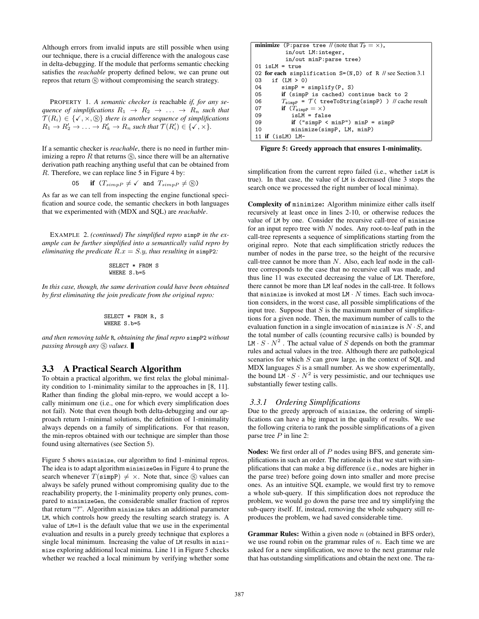Although errors from invalid inputs are still possible when using our technique, there is a crucial difference with the analogous case in delta-debugging. If the module that performs semantic checking satisfies the *reachable* property defined below, we can prune out repros that return  $\circledS$  without compromising the search strategy.

PROPERTY 1. *A semantic checker is* reachable *if, for any sequence of simplifications*  $R_1 \rightarrow R_2 \rightarrow \ldots \rightarrow R_n$  *such that*  $\mathcal{T}(R_i) \in \{ \checkmark, \checkmark, \checkmark \}$  *there is another sequence of simplifications*  $R_1 \rightarrow R'_2 \rightarrow \ldots \rightarrow R'_k \rightarrow R_n$  such that  $\mathcal{T}(R'_i) \in {\{\checkmark, \checkmark\}}$ .

If a semantic checker is *reachable*, there is no need in further minimizing a repro  $R$  that returns  $\circledS$ , since there will be an alternative derivation path reaching anything useful that can be obtained from *R*. Therefore, we can replace line 5 in Figure 4 by:

05 if 
$$
(T_{simpP} \neq \checkmark)
$$
 and  $T_{simpP} \neq \textcircled{s}$ )

As far as we can tell from inspecting the engine functional specification and source code, the semantic checkers in both languages that we experimented with (MDX and SQL) are *reachable*.

EXAMPLE 2. *(continued) The simplified repro* simpP *in the example can be further simplified into a semantically valid repro by eliminating the predicate*  $R.x = S.y$ *, thus resulting in* simpp2*:* 

SELECT \* FROM S WHERE S.b=5

*In this case, though, the same derivation could have been obtained by first eliminating the join predicate from the original repro:*

SELECT \* FROM R, S WHERE S.b=5

*and then removing table* R*, obtaining the final repro* simpP2 *without passing through any*  $\circledS$  *values.* 

## 3.3 A Practical Search Algorithm

To obtain a practical algorithm, we first relax the global minimality condition to 1-minimality similar to the approaches in [8, 11]. Rather than finding the global min-repro, we would accept a locally minimum one (i.e., one for which every simplification does not fail). Note that even though both delta-debugging and our approach return 1-minimal solutions, the definition of 1-minimality always depends on a family of simplifications. For that reason, the min-repros obtained with our technique are simpler than those found using alternatives (see Section 5).

Figure 5 shows minimize, our algorithm to find 1-minimal repros. The idea is to adapt algorithm minimizeGen in Figure 4 to prune the search whenever  $T(\text{simpP}) \neq \times$ . Note that, since  $\textcircled{s}$  values can always be safely pruned without compromising quality due to the reachability property, the 1-minimality property only prunes, compared to minimizeGen, the considerable smaller fraction of repros that return "?". Algorithm minimize takes an additional parameter LM, which controls how greedy the resulting search strategy is. A value of LM=1 is the default value that we use in the experimental evaluation and results in a purely greedy technique that explores a single local minimum. Increasing the value of LM results in minimize exploring additional local minima. Line 11 in Figure 5 checks whether we reached a local minimum by verifying whether some

| <b>minimize</b> (P:parse tree // (note that $T_P = \times$ ),                    |  |  |
|----------------------------------------------------------------------------------|--|--|
| in/out LM: integer,                                                              |  |  |
| in/out minP:parse tree)                                                          |  |  |
| $01$ is LM = true                                                                |  |  |
| 02 for each simplification $S=(N,D)$ of R // see Section 3.1                     |  |  |
| if $(LM > 0)$<br>03                                                              |  |  |
| $simpP = simplify(P, S)$<br>04                                                   |  |  |
| if (simpP is cached) continue back to 2<br>05                                    |  |  |
| $T_{\text{simp}}$ = $\mathcal{T}$ (tree To String (simpp)) // cache result<br>06 |  |  |
| if $(T_{\text{simp}} = \times)$<br>07                                            |  |  |
| $isLM = false$<br>09                                                             |  |  |
| if ("simpP $\leq$ minP") minP = simpP<br>09                                      |  |  |
| minimize(simpP, LM, minP)<br>10                                                  |  |  |
| 11 if (isLM) LM-                                                                 |  |  |

Figure 5: Greedy approach that ensures 1-minimality.

simplification from the current repro failed (i.e., whether isLM is true). In that case, the value of LM is decreased (line 3 stops the search once we processed the right number of local minima).

Complexity of minimize: Algorithm minimize either calls itself recursively at least once in lines 2-10, or otherwise reduces the value of LM by one. Consider the recursive call-tree of minimize for an input repro tree with *N* nodes. Any root-to-leaf path in the call-tree represents a sequence of simplifications starting from the original repro. Note that each simplification strictly reduces the number of nodes in the parse tree, so the height of the recursive call-tree cannot be more than *N*. Also, each leaf node in the calltree corresponds to the case that no recursive call was made, and thus line 11 was executed decreasing the value of LM. Therefore, there cannot be more than LM leaf nodes in the call-tree. It follows that minimize is invoked at most  $LM \cdot N$  times. Each such invocation considers, in the worst case, all possible simplifications of the input tree. Suppose that  $S$  is the maximum number of simplifications for a given node. Then, the maximum number of calls to the evaluation function in a single invocation of  $minimize$  is  $N \cdot S$ , and the total number of calls (counting recursive calls) is bounded by  $LM \cdot S \cdot N^2$ . The actual value of *S* depends on both the grammar rules and actual values in the tree. Although there are pathological scenarios for which *S* can grow large, in the context of SQL and MDX languages *S* is a small number. As we show experimentally, the bound  $LM \cdot S \cdot N^2$  is very pessimistic, and our techniques use substantially fewer testing calls.

#### *3.3.1 Ordering Simplifications*

Due to the greedy approach of minimize, the ordering of simplifications can have a big impact in the quality of results. We use the following criteria to rank the possible simplifications of a given parse tree *P* in line 2:

Nodes: We first order all of *P* nodes using BFS, and generate simplifications in such an order. The rationale is that we start with simplifications that can make a big difference (i.e., nodes are higher in the parse tree) before going down into smaller and more precise ones. As an intuitive SQL example, we would first try to remove a whole sub-query. If this simplification does not reproduce the problem, we would go down the parse tree and try simplifying the sub-query itself. If, instead, removing the whole subquery still reproduces the problem, we had saved considerable time.

Grammar Rules: Within a given node *n* (obtained in BFS order), we use round robin on the grammar rules of *n*. Each time we are asked for a new simplification, we move to the next grammar rule that has outstanding simplifications and obtain the next one. The ra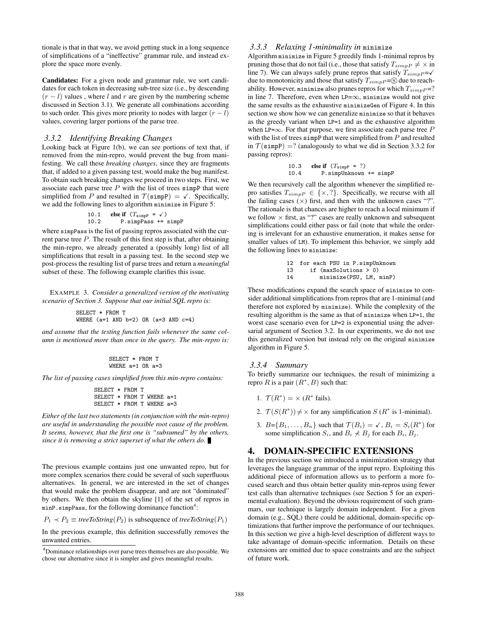tionale is that in that way, we avoid getting stuck in a long sequence of simplifications of a "ineffective" grammar rule, and instead explore the space more evenly.

Candidates: For a given node and grammar rule, we sort candidates for each token in decreasing sub-tree size (i.e., by descending  $(r - l)$  values, where *l* and *r* are given by the numbering scheme discussed in Section 3.1). We generate all combinations according to such order. This gives more priority to nodes with larger  $(r - l)$ values, covering larger portions of the parse tree.

#### *3.3.2 Identifying Breaking Changes*

Looking back at Figure 1(b), we can see portions of text that, if removed from the min-repro, would prevent the bug from manifesting. We call these *breaking changes*, since they are fragments that, if added to a given passing test, would make the bug manifest. To obtain such breaking changes we proceed in two steps. First, we associate each parse tree  $P$  with the list of trees simpP that were simplified from *P* and resulted in  $\mathcal{T}(\text{simpP}) = \checkmark$ . Specifically, we add the following lines to algorithm minimize in Figure 5:

10.1 else if 
$$
(T_{\text{simpP}} = \checkmark)
$$
  
10.2 P.simpPass += simpP

where simpPass is the list of passing repros associated with the current parse tree *P*. The result of this first step is that, after obtaining the min-repro, we already generated a (possibly long) list of all simplifications that result in a passing test. In the second step we post-process the resulting list of parse trees and return a *meaningful* subset of these. The following example clarifies this issue.

EXAMPLE 3. *Consider a generalized version of the motivating scenario of Section 3. Suppose that our initial SQL repro is:*

```
SELECT * FROM T
WHERE (a=1 AND b=2) OR (a=3 AND c=4)
```
*and assume that the testing function fails whenever the same column is mentioned more than once in the query. The min-repro is:*

$$
SELECT * FROM T
$$
  
\nWHERE a=1 OR a=3

*The list of passing cases simplified from this min-repro contains:*

```
SELECT * FROM T
SELECT * FROM T WHERE a=1
SELECT * FROM T WHERE a=3
```
*Either of the last two statements (in conjunction with the min-repro) are useful in understanding the possible root cause of the problem. It seems, however, that the first one is "subsumed" by the others, since it is removing a strict superset of what the others do.*

The previous example contains just one unwanted repro, but for more complex scenarios there could be several of such superfluous alternatives. In general, we are interested in the set of changes that would make the problem disappear, and are not "dominated" by others. We then obtain the skyline [1] of the set of repros in  $minP \cdot$  simpPass, for the following dominance function<sup>4</sup>:

 $P_1 \prec P_2 \equiv$  *treeToString*( $P_2$ ) is subsequence of *treeToString*( $P_1$ )

In the previous example, this definition successfully removes the unwanted entries.

## *3.3.3 Relaxing 1-minimality in* minimize

Algorithm minimize in Figure 5 greedily finds 1-minimal repros by pruning those that do not fail (i.e., those that satisfy  $T_{simpP} \neq \times$  in line 7). We can always safely prune repros that satisfy  $T_{simpP} = \checkmark$ due to monotonicity and those that satisfy  $T_{simpP} = \circledS$  due to reachability. However, minimize also prunes repros for which  $T_{simp} = ?$ in line 7. Therefore, even when  $LP=\infty$ , minimize would not give the same results as the exhaustive minimizeGen of Figure 4. In this section we show how we can generalize minimize so that it behaves as the greedy variant when LP=1 and as the exhaustive algorithm when LP=*∞*. For that purpose, we first associate each parse tree *P* with the list of trees simpP that were simplified from *P* and resulted in  $\mathcal{T}(\text{simpP}) = ?$  (analogously to what we did in Section 3.3.2 for passing repros):

10.3 else if 
$$
(T_{\text{simpP}} = ?)
$$
  
10.4 P.simplhknown += simp

We then recursively call the algorithm whenever the simplified repro satisfies  $T_{simpP} \in \{\times,?\}$ . Specifically, we recurse with all the failing cases  $(\times)$  first, and then with the unknown cases "?". The rationale is that chances are higher to reach a local minimum if we follow *×* first, as "?" cases are really unknown and subsequent simplifications could either pass or fail (note that while the ordering is irrelevant for an exhaustive enumeration, it makes sense for smaller values of LM). To implement this behavior, we simply add the following lines to minimize:

12 for each PSU in P.simpUnknown 13 if (maxSolutions > 0) 14 minimize(PSU, LM, minP)

These modifications expand the search space of minimize to consider additional simplifications from repros that are 1-minimal (and therefore not explored by minimize). While the complexity of the resulting algorithm is the same as that of minimize when LP=1, the worst case scenario even for LP=2 is exponential using the adversarial argument of Section 3.2. In our experiments, we do not use this generalized version but instead rely on the original minimize algorithm in Figure 5.

#### *3.3.4 Summary*

To briefly summarize our techniques, the result of minimizing a repro *R* is a pair  $(R^*, B)$  such that:

- 1.  $\mathcal{T}(R^*) = \times (R^* \text{ fails}).$
- 2.  $\mathcal{T}(S(R^*)) \neq \times$  for any simplification *S* ( $R^*$  is 1-minimal).
- 3.  $B = \{B_1, \ldots, B_n\}$  such that  $\mathcal{T}(B_i) = \checkmark$ ,  $B_i = S_i(R^*)$  for some simplification  $S_i$ , and  $B_i \nless B_j$  for each  $B_i$ ,  $B_j$ .

## 4. DOMAIN-SPECIFIC EXTENSIONS

In the previous section we introduced a minimization strategy that leverages the language grammar of the input repro. Exploiting this additional piece of information allows us to perform a more focused search and thus obtain better quality min-repros using fewer test calls than alternative techniques (see Section 5 for an experimental evaluation). Beyond the obvious requirement of such grammars, our technique is largely domain independent. For a given domain (e.g., SQL) there could be additional, domain-specific optimizations that further improve the performance of our techniques. In this section we give a high-level description of different ways to take advantage of domain-specific information. Details on these extensions are omitted due to space constraints and are the subject of future work.

<sup>&</sup>lt;sup>4</sup>Dominance relationships over parse trees themselves are also possible. We chose our alternative since it is simpler and gives meaningful results.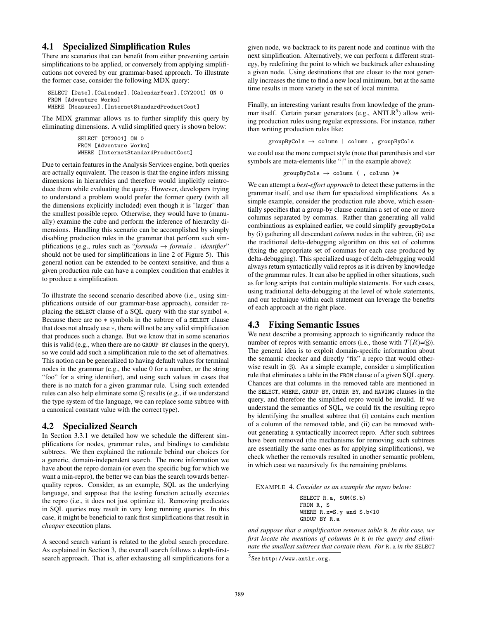## 4.1 Specialized Simplification Rules

There are scenarios that can benefit from either preventing certain simplifications to be applied, or conversely from applying simplifications not covered by our grammar-based approach. To illustrate the former case, consider the following MDX query:

SELECT [Date].[Calendar].[CalendarYear].[CY2001] ON 0 FROM [Adventure Works] WHERE [Measures].[InternetStandardProductCost]

The MDX grammar allows us to further simplify this query by eliminating dimensions. A valid simplified query is shown below:

> SELECT [CY2001] ON 0 FROM [Adventure Works] WHERE [InternetStandardProductCost]

Due to certain features in the Analysis Services engine, both queries are actually equivalent. The reason is that the engine infers missing dimensions in hierarchies and therefore would implicitly reintroduce them while evaluating the query. However, developers trying to understand a problem would prefer the former query (with all the dimensions explicitly included) even though it is "larger" than the smallest possible repro. Otherwise, they would have to (manually) examine the cube and perform the inference of hierarchy dimensions. Handling this scenario can be accomplished by simply disabling production rules in the grammar that perform such simplifications (e.g., rules such as "*formula*  $\rightarrow$  *formula . identifier*" should not be used for simplifications in line 2 of Figure 5). This general notion can be extended to be context sensitive, and thus a given production rule can have a complex condition that enables it to produce a simplification.

To illustrate the second scenario described above (i.e., using simplifications outside of our grammar-base approach), consider replacing the SELECT clause of a SQL query with the star symbol *∗*. Because there are no *∗* symbols in the subtree of a SELECT clause that does not already use *∗*, there will not be any valid simplification that produces such a change. But we know that in some scenarios this is valid (e.g., when there are no GROUP BY clauses in the query), so we could add such a simplification rule to the set of alternatives. This notion can be generalized to having default values for terminal nodes in the grammar (e.g., the value 0 for a number, or the string "foo" for a string identifier), and using such values in cases that there is no match for a given grammar rule. Using such extended rules can also help eliminate some  $\circledS$  results (e.g., if we understand the type system of the language, we can replace some subtree with a canonical constant value with the correct type).

## 4.2 Specialized Search

In Section 3.3.1 we detailed how we schedule the different simplifications for nodes, grammar rules, and bindings to candidate subtrees. We then explained the rationale behind our choices for a generic, domain-independent search. The more information we have about the repro domain (or even the specific bug for which we want a min-repro), the better we can bias the search towards betterquality repros. Consider, as an example, SQL as the underlying language, and suppose that the testing function actually executes the repro (i.e., it does not just optimize it). Removing predicates in SQL queries may result in very long running queries. In this case, it might be beneficial to rank first simplifications that result in *cheaper* execution plans.

A second search variant is related to the global search procedure. As explained in Section 3, the overall search follows a depth-firstsearch approach. That is, after exhausting all simplifications for a given node, we backtrack to its parent node and continue with the next simplification. Alternatively, we can perform a different strategy, by redefining the point to which we backtrack after exhausting a given node. Using destinations that are closer to the root generally increases the time to find a new local minimum, but at the same time results in more variety in the set of local minima.

Finally, an interesting variant results from knowledge of the grammar itself. Certain parser generators (e.g., ANTLR<sup>5</sup>) allow writing production rules using regular expressions. For instance, rather than writing production rules like:

groupByCols *→* column | column , groupByCols

we could use the more compact style (note that parenthesis and star symbols are meta-elements like "*|*" in the example above):

$$
\texttt{groupByCols} \, \rightarrow \, \texttt{column} \, \left( \, \, , \, \texttt{column} \, \, \right) *
$$

We can attempt a *best-effort approach* to detect these patterns in the grammar itself, and use them for specialized simplifications. As a simple example, consider the production rule above, which essentially specifies that a group-by clause contains a set of one or more columns separated by commas. Rather than generating all valid combinations as explained earlier, we could simplify groupByCols by (i) gathering all descendant *column* nodes in the subtree, (ii) use the traditional delta-debugging algorithm on this set of columns (fixing the appropriate set of commas for each case produced by delta-debugging). This specialized usage of delta-debugging would always return syntactically valid repros as it is driven by knowledge of the grammar rules. It can also be applied in other situations, such as for long scripts that contain multiple statements. For such cases, using traditional delta-debugging at the level of whole statements, and our technique within each statement can leverage the benefits of each approach at the right place.

## 4.3 Fixing Semantic Issues

We next describe a promising approach to significantly reduce the number of repros with semantic errors (i.e., those with  $\mathcal{T}(R)=\mathbb{S}$ ). The general idea is to exploit domain-specific information about the semantic checker and directly "fix" a repro that would otherwise result in  $\circledS$ . As a simple example, consider a simplification rule that eliminates a table in the FROM clause of a given SQL query. Chances are that columns in the removed table are mentioned in the SELECT, WHERE, GROUP BY, ORDER BY, and HAVING clauses in the query, and therefore the simplified repro would be invalid. If we understand the semantics of SQL, we could fix the resulting repro by identifying the smallest subtree that (i) contains each mention of a column of the removed table, and (ii) can be removed without generating a syntactically incorrect repro. After such subtrees have been removed (the mechanisms for removing such subtrees are essentially the same ones as for applying simplifications), we check whether the removals resulted in another semantic problem, in which case we recursively fix the remaining problems.

EXAMPLE 4. *Consider as an example the repro below:*

SELECT R.a, SUM(S.b) FROM R, S WHERE R.x=S.y and S.b<10 GROUP BY R.a

*and suppose that a simplification removes table* R*. In this case, we first locate the mentions of columns in* R *in the query and eliminate the smallest subtrees that contain them. For* R.a *in the* SELECT

 $^5$ See http://www.antlr.org.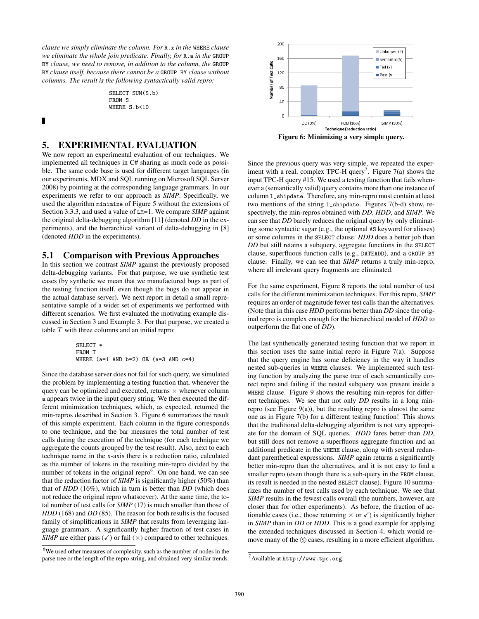*clause we simply eliminate the column. For* R.x *in the* WHERE *clause we eliminate the whole join predicate. Finally, for* R.a *in the* GROUP BY *clause, we need to remove, in addition to the column, the* GROUP BY *clause itself, because there cannot be a* GROUP BY *clause without columns. The result is the following syntactically valid repro:*

> SELECT SUM(S.b) FROM S WHERE S.b<10

П

## 5. EXPERIMENTAL EVALUATION

We now report an experimental evaluation of our techniques. We implemented all techniques in C# sharing as much code as possible. The same code base is used for different target languages (in our experiments, MDX and SQL running on Microsoft SQL Server 2008) by pointing at the corresponding language grammars. In our experiments we refer to our approach as *SIMP*. Specifically, we used the algorithm minimize of Figure 5 without the extensions of Section 3.3.3, and used a value of LM=1. We compare *SIMP* against the original delta-debugging algorithm [11] (denoted *DD* in the experiments), and the hierarchical variant of delta-debugging in [8] (denoted *HDD* in the experiments).

#### 5.1 Comparison with Previous Approaches

In this section we contrast *SIMP* against the previously proposed delta-debugging variants. For that purpose, we use synthetic test cases (by synthetic we mean that we manufactured bugs as part of the testing function itself, even though the bugs do not appear in the actual database server). We next report in detail a small representative sample of a wider set of experiments we performed with different scenarios. We first evaluated the motivating example discussed in Section 3 and Example 3. For that purpose, we created a table *T* with three columns and an initial repro:

> SELECT \* FROM T WHERE  $(a=1$  AND  $b=2$ ) OR  $(a=3$  AND  $c=4$ )

Since the database server does not fail for such query, we simulated the problem by implementing a testing function that, whenever the query can be optimized and executed, returns *×* whenever column a appears twice in the input query string. We then executed the different minimization techniques, which, as expected, returned the min-repros described in Section 3. Figure 6 summarizes the result of this simple experiment. Each column in the figure corresponds to one technique, and the bar measures the total number of test calls during the execution of the technique (for each technique we aggregate the counts grouped by the test result). Also, next to each technique name in the x-axis there is a reduction ratio, calculated as the number of tokens in the resulting min-repro divided by the number of tokens in the original repro $6$ . On one hand, we can see that the reduction factor of *SIMP* is significantly higher (50%) than that of *HDD* (16%), which in turn is better than *DD* (which does not reduce the original repro whatsoever). At the same time, the total number of test calls for *SIMP* (17) is much smaller than those of *HDD* (168) and *DD* (85). The reason for both results is the focused family of simplifications in *SIMP* that results from leveraging language grammars. A significantly higher fraction of test cases in *SIMP* are either pass  $(\checkmark)$  or fail  $(\checkmark)$  compared to other techniques.



Since the previous query was very simple, we repeated the experiment with a real, complex TPC-H query<sup>7</sup>. Figure  $7(a)$  shows the input TPC-H query #15. We used a testing function that fails whenever a (semantically valid) query contains more than one instance of column l\_shipdate. Therefore, any min-repro must contain at least two mentions of the string l\_shipdate. Figures 7(b-d) show, respectively, the min-repros obtained with *DD*, *HDD*, and *SIMP*. We can see that *DD* barely reduces the original query by only eliminating some syntactic sugar (e.g., the optional AS keyword for aliases) or some columns in the SELECT clause. *HDD* does a better job than *DD* but still retains a subquery, aggregate functions in the SELECT clause, superfluous function calls (e.g., DATEADD), and a GROUP BY clause. Finally, we can see that *SIMP* returns a truly min-repro, where all irrelevant query fragments are eliminated.

For the same experiment, Figure 8 reports the total number of test calls for the different minimization techniques. For this repro, *SIMP* requires an order of magnitude fewer test calls than the alternatives. (Note that in this case *HDD* performs better than *DD* since the original repro is complex enough for the hierarchical model of *HDD* to outperform the flat one of *DD*).

The last synthetically generated testing function that we report in this section uses the same initial repro in Figure 7(a). Suppose that the query engine has some deficiency in the way it handles nested sub-queries in WHERE clauses. We implemented such testing function by analyzing the parse tree of each semantically correct repro and failing if the nested subquery was present inside a WHERE clause. Figure 9 shows the resulting min-repros for different techniques. We see that not only *DD* results in a long minrepro (see Figure  $9(a)$ ), but the resulting repro is almost the same one as in Figure 7(b) for a different testing function! This shows that the traditional delta-debugging algorithm is not very appropriate for the domain of SQL queries. *HDD* fares better than *DD*, but still does not remove a superfluous aggregate function and an additional predicate in the WHERE clause, along with several redundant parenthetical expressions. *SIMP* again returns a significantly better min-repro than the alternatives, and it is not easy to find a smaller repro (even though there is a sub-query in the FROM clause, its result is needed in the nested SELECT clause). Figure 10 summarizes the number of test calls used by each technique. We see that *SIMP* results in the fewest calls overall (the numbers, however, are closer than for other experiments). As before, the fraction of actionable cases (i.e., those returning  $\times$  or  $\checkmark$ ) is significantly higher in *SIMP* than in *DD* or *HDD*. This is a good example for applying the extended techniques discussed in Section 4, which would remove many of the  $\circledS$  cases, resulting in a more efficient algorithm.

 $6$ We used other measures of complexity, such as the number of nodes in the parse tree or the length of the repro string, and obtained very similar trends.

 $^7$ Available at http://www.tpc.org.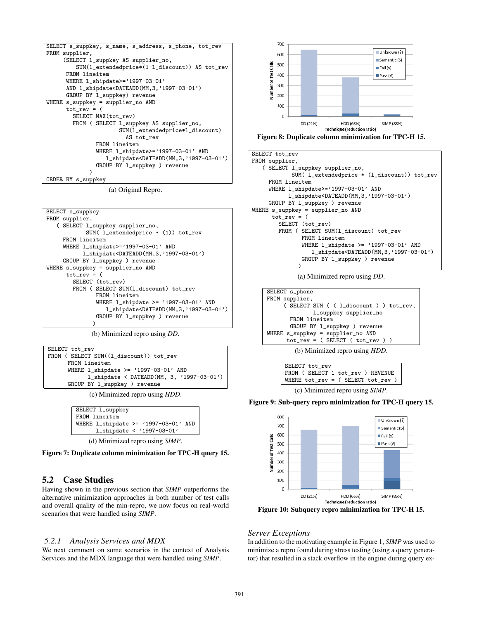```
SELECT s_suppkey, s_name, s_address, s_phone, tot_rev
FROM supplier,
     (SELECT l_suppkey AS supplier_no,
         SUM(l_extendedprice*(1-l_discount)) AS tot_rev
      FROM lineitem
      WHERE 1_shipdate>='1997-03-01'
      AND l_shipdate<DATEADD(MM,3,'1997-03-01')
      GROUP BY l_suppkey) revenue
WHERE s_suppkey = supplier_no AND
      tot_rev = (
        SELECT MAX(tot_rev)
        FROM ( SELECT l_suppkey AS supplier_no,
                      SUM(l_extendedprice*l_discount)
                         AS tot_rev
               FROM lineitem
               WHERE l_shipdate>='1997-03-01' AND
                  l_shipdate<DATEADD(MM,3,'1997-03-01')
               GROUP BY l_suppkey ) revenue
             \lambdaORDER BY s_suppkey
```


```
SELECT s_suppkey
FROM supplier,
   ( SELECT l_suppkey supplier_no,
            SUM( l_extendedprice * (1)) tot_rev
     FROM lineitem
     WHERE l_shipdate>='1997-03-01' AND
           l_shipdate<DATEADD(MM,3,'1997-03-01')
     GROUP BY l_suppkey ) revenue
WHERE s_suppkey = supplier_no AND
      tot\_rev = (SELECT (tot_rev)
        FROM ( SELECT SUM(1_discount) tot_rev
               FROM lineitem
               WHERE l_shipdate >= '1997-03-01' AND
                  l_shipdate<DATEADD(MM,3,'1997-03-01')
               GROUP BY l_suppkey ) revenue
              )
```
(b) Minimized repro using *DD*.

```
SELECT tot_rev
FROM ( SELECT SUM((1_discount)) tot_rev
      FROM lineitem
     WHERE l_shipdate >= '1997-03-01' AND
            l_shipdate < DATEADD(MM, 3, '1997-03-01')
      GROUP BY l_suppkey ) revenue
```
(c) Minimized repro using *HDD*.

| SELECT 1_suppkey                           |
|--------------------------------------------|
|                                            |
| FROM lineitem                              |
| WHERE $l_{shipdate} \geq 71997-03-01'$ AND |
|                                            |
| 1_shipdate < '1997-03-01'                  |
|                                            |
|                                            |

(d) Minimized repro using *SIMP*.

Figure 7: Duplicate column minimization for TPC-H query 15.

# 5.2 Case Studies

Having shown in the previous section that *SIMP* outperforms the alternative minimization approaches in both number of test calls and overall quality of the min-repro, we now focus on real-world scenarios that were handled using *SIMP*.

# *5.2.1 Analysis Services and MDX*

We next comment on some scenarios in the context of Analysis Services and the MDX language that were handled using *SIMP*.





```
SELECT tot_rev
FROM supplier,
   ( SELECT l_suppkey supplier_no,
            SUM( l_extendedprice * (l_discount)) tot_rev
     FROM lineitem
     WHERE l_shipdate>='1997-03-01' AND
           l_shipdate<DATEADD(MM,3,'1997-03-01')
     GROUP BY l_suppkey ) revenue
WHERE s_suppkey = supplier_no AND
     tot\_rev = (SELECT (tot_rev)
       FROM ( SELECT SUM(1_discount) tot_rev
               FROM lineitem
               WHERE l_shipdate >= '1997-03-01' AND
                  l_shipdate<DATEADD(MM,3,'1997-03-01')
               GROUP BY l_suppkey ) revenue
              )
```
(a) Minimized repro using *DD*.



(b) Minimized repro using *HDD*.



(c) Minimized repro using *SIMP*.

#### Figure 9: Sub-query repro minimization for TPC-H query 15.



Figure 10: Subquery repro minimization for TPC-H 15.

## *Server Exceptions*

In addition to the motivating example in Figure 1, *SIMP* was used to minimize a repro found during stress testing (using a query generator) that resulted in a stack overflow in the engine during query ex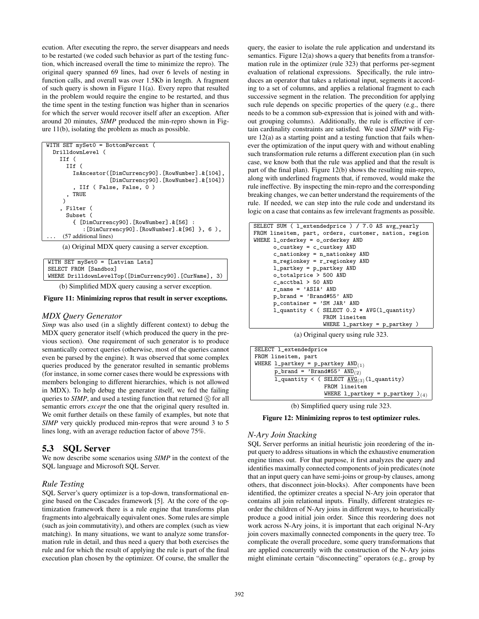ecution. After executing the repro, the server disappears and needs to be restarted (we coded such behavior as part of the testing function, which increased overall the time to minimize the repro). The original query spanned 69 lines, had over 6 levels of nesting in function calls, and overall was over 1.5Kb in length. A fragment of such query is shown in Figure 11(a). Every repro that resulted in the problem would require the engine to be restarted, and thus the time spent in the testing function was higher than in scenarios for which the server would recover itself after an exception. After around 20 minutes, *SIMP* produced the min-repro shown in Figure 11(b), isolating the problem as much as possible.

| WITH SET mySetO = BottomPercent (                |
|--------------------------------------------------|
| DrilldownLevel (                                 |
| $I$ If $($                                       |
| IIf (                                            |
| IsAncestor([DimCurrency90].[RowNumber]. & [104], |
| [DimCurrency90]. [RowNumber]. & [104])           |
| , IIf ( False, False, 0 )                        |
| TRUE                                             |
|                                                  |
| , Filter (                                       |
| Subset (                                         |
| { [DimCurrency90]. [RowNumber]. & [56] :         |
| : [DimCurrency90]. [RowNumber]. $\&$ [96] }, 6), |
| (57 additional lines)                            |

(a) Original MDX query causing a server exception.

| WITH SET mySet0 = [Latvian Lats]                      |  |
|-------------------------------------------------------|--|
| SELECT FROM [Sandbox]                                 |  |
| WHERE DrilldownLevelTop([DimCurrency90].[CurName], 3) |  |
|                                                       |  |

(b) Simplified MDX query causing a server exception.

Figure 11: Minimizing repros that result in server exceptions.

#### *MDX Query Generator*

*Simp* was also used (in a slightly different context) to debug the MDX query generator itself (which produced the query in the previous section). One requirement of such generator is to produce semantically correct queries (otherwise, most of the queries cannot even be parsed by the engine). It was observed that some complex queries produced by the generator resulted in semantic problems (for instance, in some corner cases there would be expressions with members belonging to different hierarchies, which is not allowed in MDX). To help debug the generator itself, we fed the failing queries to *SIMP*, and used a testing function that returned  $\circledS$  for all semantic errors *except* the one that the original query resulted in. We omit further details on these family of examples, but note that *SIMP* very quickly produced min-repros that were around 3 to 5 lines long, with an average reduction factor of above 75%.

## 5.3 SQL Server

We now describe some scenarios using *SIMP* in the context of the SQL language and Microsoft SQL Server.

#### *Rule Testing*

SQL Server's query optimizer is a top-down, transformational engine based on the Cascades framework [5]. At the core of the optimization framework there is a rule engine that transforms plan fragments into algebraically equivalent ones. Some rules are simple (such as join commutativity), and others are complex (such as view matching). In many situations, we want to analyze some transformation rule in detail, and thus need a query that both exercises the rule and for which the result of applying the rule is part of the final execution plan chosen by the optimizer. Of course, the smaller the query, the easier to isolate the rule application and understand its semantics. Figure 12(a) shows a query that benefits from a transformation rule in the optimizer (rule 323) that performs per-segment evaluation of relational expressions. Specifically, the rule introduces an operator that takes a relational input, segments it according to a set of columns, and applies a relational fragment to each successive segment in the relation. The precondition for applying such rule depends on specific properties of the query (e.g., there needs to be a common sub-expression that is joined with and without grouping columns). Additionally, the rule is effective if certain cardinality constraints are satisfied. We used *SIMP* with Figure 12(a) as a starting point and a testing function that fails whenever the optimization of the input query with and without enabling such transformation rule returns a different execution plan (in such case, we know both that the rule was applied and that the result is part of the final plan). Figure 12(b) shows the resulting min-repro, along with underlined fragments that, if removed, would make the rule ineffective. By inspecting the min-repro and the corresponding breaking changes, we can better understand the requirements of the rule. If needed, we can step into the rule code and understand its logic on a case that contains as few irrelevant fragments as possible.

| SELECT SUM ( l_extendedprice ) / 7.0 AS avg_yearly    |
|-------------------------------------------------------|
| FROM lineitem, part, orders, customer, nation, region |
| WHERE 1_orderkey = 0_orderkey AND                     |
| $o_custkey = c_custkey AND$                           |
| $c_{n}$ ationkey = $n_{n}$ ationkey AND               |
| n_regionkey = r_regionkey AND                         |
| $1$ _partkey = p_partkey AND                          |
| o_totalprice > 500 AND                                |
| c acctbal $>$ 50 AND                                  |
| $r$ name = $'ASIA'$ AND                               |
| $p_{\text{parallel}} = 'Brand#55'$ AND                |
| $p_{\text{}}container = 'SM JAR' AND$                 |
| $1$ quantity < ( SELECT 0.2 * AVG(1 quantity)         |
| FROM lineitem                                         |
| WHERE $l$ _partkey = p_partkey )                      |
|                                                       |

(a) Original query using rule 323.

| SELECT 1_extendedprice                             |
|----------------------------------------------------|
| FROM lineitem, part                                |
| WHERE 1_partkey = p_partkey $AND_{(1)}$            |
| $p_{\text{brand}} =$ 'Brand#55' AND <sub>(2)</sub> |
| 1_quantity < ( SELECT $AVG_{(3)}(1$ _quantity)     |
| FROM lineitem                                      |
| WHERE 1_partkey = p_partkey $)_{(4)}$              |

(b) Simplified query using rule 323.

Figure 12: Minimizing repros to test optimizer rules.

#### *N-Ary Join Stacking*

SQL Server performs an initial heuristic join reordering of the input query to address situations in which the exhaustive enumeration engine times out. For that purpose, it first analyzes the query and identifies maximally connected components of join predicates (note that an input query can have semi-joins or group-by clauses, among others, that disconnect join-blocks). After components have been identified, the optimizer creates a special N-Ary join operator that contains all join relational inputs. Finally, different strategies reorder the children of N-Ary joins in different ways, to heuristically produce a good initial join order. Since this reordering does not work across N-Ary joins, it is important that each original N-Ary join covers maximally connected components in the query tree. To complicate the overall procedure, some query transformations that are applied concurrently with the construction of the N-Ary joins might eliminate certain "disconnecting" operators (e.g., group by